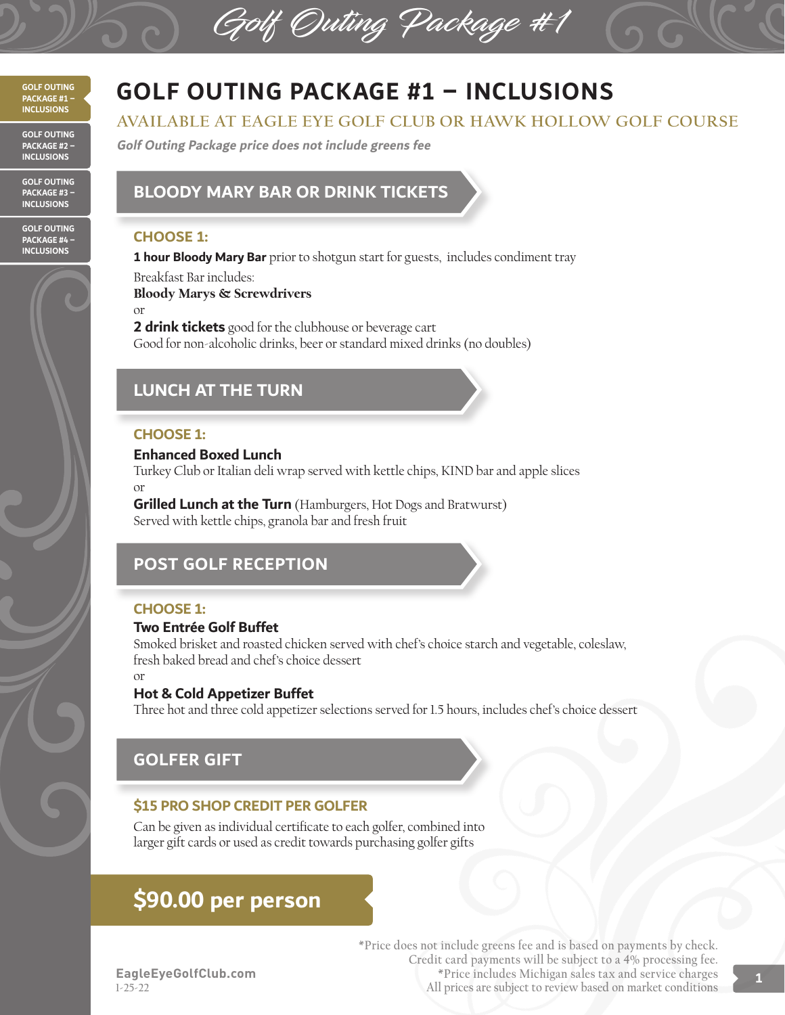# Golf Outing Package #1

#### **GOLF OUTING PACKAGE #1 – INCLUSIONS**

**GOLF OUTING PACKAGE #2 – INCLUSIONS**

**GOLF OUTING PACKAGE #3 – INCLUSIONS**

**GOLF OUTING PACKAGE #4 – INCLUSIONS**



## **GOLF OUTING PACKAGE #1 – INCLUSIONS**

#### **AVAILABLE AT EAGLE EYE GOLF CLUB OR HAWK HOLLOW GOLF COURSE**

**Golf Outing Package price does not include greens fee**

#### **BLOODY MARY BAR OR DRINK TICKETS**

#### **CHOOSE 1:**

**1 hour Bloody Mary Bar** prior to shotgun start for guests, includes condiment tray

Breakfast Bar includes:

Bloody Marys & Screwdrivers

or

**2 drink tickets** good for the clubhouse or beverage cart Good for non-alcoholic drinks, beer or standard mixed drinks (no doubles)

#### **LUNCH AT THE TURN**

#### **CHOOSE 1:**

#### **Enhanced Boxed Lunch**

Turkey Club or Italian deli wrap served with kettle chips, KIND bar and apple slices or

**Grilled Lunch at the Turn** (Hamburgers, Hot Dogs and Bratwurst) Served with kettle chips, granola bar and fresh fruit

### **POST GOLF RECEPTION**

#### **CHOOSE 1:**

#### **Two Entrée Golf Buffet**

Smoked brisket and roasted chicken served with chef's choice starch and vegetable, coleslaw, fresh baked bread and chef's choice dessert

or

#### **Hot & Cold Appetizer Buffet**

Three hot and three cold appetizer selections served for 1.5 hours, includes chef's choice dessert

#### **GOLFER GIFT**

#### **\$15 PRO SHOP CREDIT PER GOLFER**

Can be given as individual certificate to each golfer, combined into larger gift cards or used as credit towards purchasing golfer gifts

## **\$90.00 per person**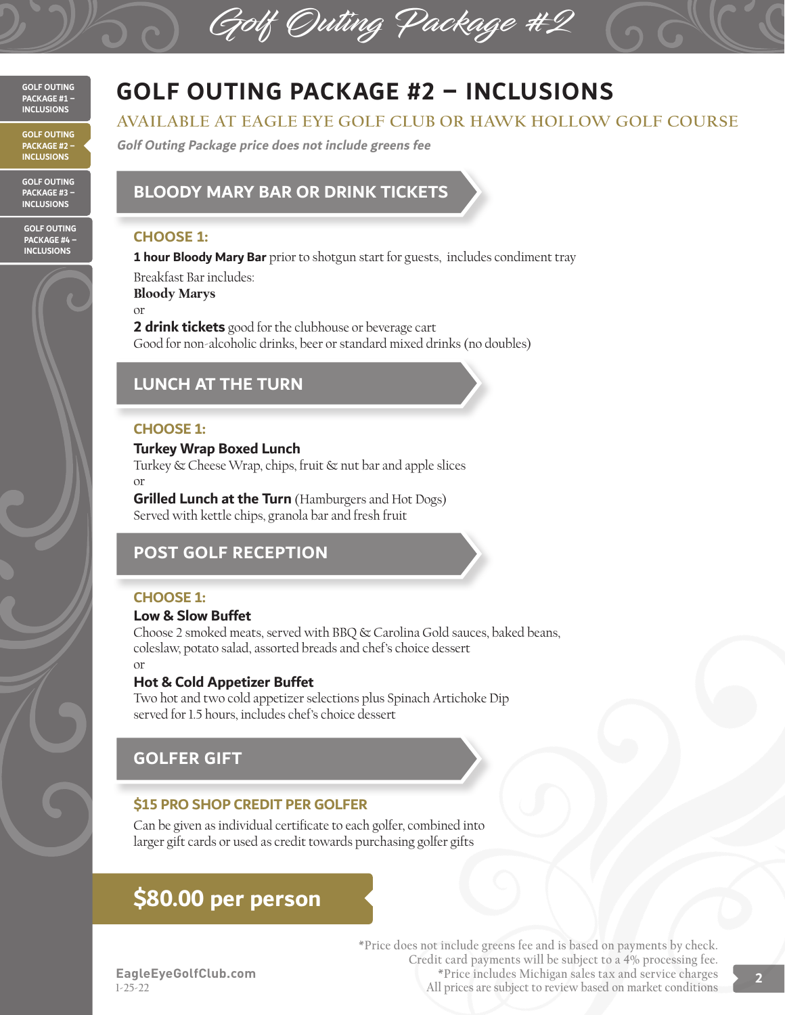## Golf Outing Package #2

**GOLF OUTING PACKAGE #1 – INCLUSIONS**

**GOLF OUTING PACKAGE #2 – INCLUSIONS**

**GOLF OUTING PACKAGE #3 – INCLUSIONS**

**GOLF OUTING PACKAGE #4 – INCLUSIONS**



## **GOLF OUTING PACKAGE #2 – INCLUSIONS**

#### **AVAILABLE AT EAGLE EYE GOLF CLUB OR HAWK HOLLOW GOLF COURSE**

**Golf Outing Package price does not include greens fee**

#### **BLOODY MARY BAR OR DRINK TICKETS**

#### **CHOOSE 1:**

**1 hour Bloody Mary Bar** prior to shotgun start for guests, includes condiment tray

Breakfast Bar includes:

Bloody Marys

or **2 drink tickets** good for the clubhouse or beverage cart Good for non-alcoholic drinks, beer or standard mixed drinks (no doubles)

#### **LUNCH AT THE TURN**

#### **CHOOSE 1:**

#### **Turkey Wrap Boxed Lunch**

Turkey & Cheese Wrap, chips, fruit & nut bar and apple slices or

**Grilled Lunch at the Turn** (Hamburgers and Hot Dogs) Served with kettle chips, granola bar and fresh fruit

### **POST GOLF RECEPTION**

#### **CHOOSE 1:**

#### **Low & Slow Buffet**

Choose 2 smoked meats, served with BBQ & Carolina Gold sauces, baked beans, coleslaw, potato salad, assorted breads and chef's choice dessert or

#### **Hot & Cold Appetizer Buffet**

Two hot and two cold appetizer selections plus Spinach Artichoke Dip served for 1.5 hours, includes chef's choice dessert

#### **GOLFER GIFT**

#### **\$15 PRO SHOP CREDIT PER GOLFER**

Can be given as individual certificate to each golfer, combined into larger gift cards or used as credit towards purchasing golfer gifts

## **\$80.00 per person**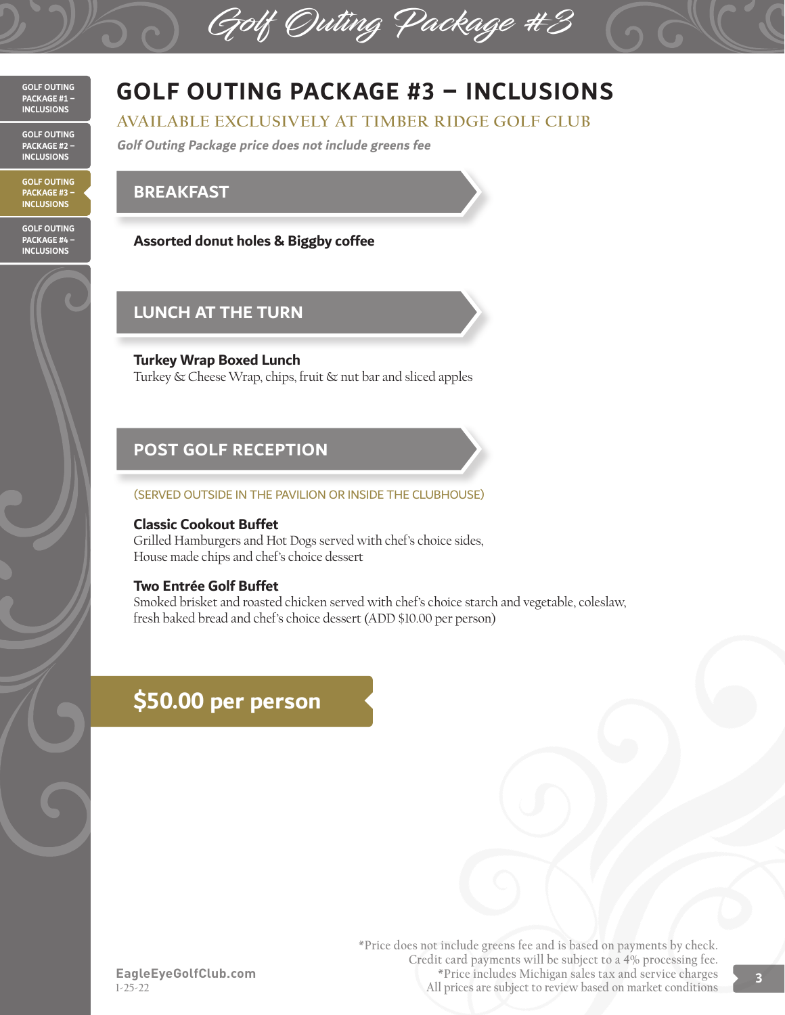# Golf Outing Package #3

**GOLF OUTING PACKAGE #1 – INCLUSIONS**

**GOLF OUTING PACKAGE #2 – INCLUSIONS**

**GOLF OUTING PACKAGE #3 – INCLUSIONS**

**GOLF OUTING PACKAGE #4 – INCLUSIONS**



**AVAILABLE EXCLUSIVELY AT TIMBER RIDGE GOLF CLUB**

**Golf Outing Package price does not include greens fee**

**BREAKFAST**

**Assorted donut holes & Biggby coffee**

#### **LUNCH AT THE TURN**

**Turkey Wrap Boxed Lunch**

Turkey & Cheese Wrap, chips, fruit & nut bar and sliced apples

#### **POST GOLF RECEPTION**

#### (SERVED OUTSIDE IN THE PAVILION OR INSIDE THE CLUBHOUSE)

#### **Classic Cookout Buffet**

Grilled Hamburgers and Hot Dogs served with chef's choice sides, House made chips and chef's choice dessert

#### **Two Entrée Golf Buffet**

Smoked brisket and roasted chicken served with chef's choice starch and vegetable, coleslaw, fresh baked bread and chef's choice dessert (ADD \$10.00 per person)

### **\$50.00 per person**